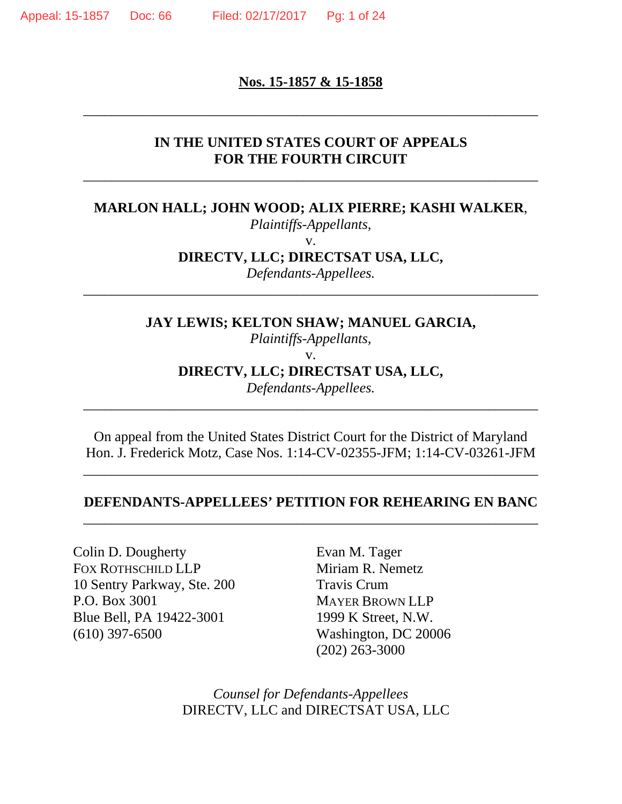#### **Nos. 15-1857 & 15-1858**

\_\_\_\_\_\_\_\_\_\_\_\_\_\_\_\_\_\_\_\_\_\_\_\_\_\_\_\_\_\_\_\_\_\_\_\_\_\_\_\_\_\_\_\_\_\_\_\_\_\_\_\_\_\_\_\_\_\_\_\_\_\_\_\_

### **IN THE UNITED STATES COURT OF APPEALS FOR THE FOURTH CIRCUIT**

\_\_\_\_\_\_\_\_\_\_\_\_\_\_\_\_\_\_\_\_\_\_\_\_\_\_\_\_\_\_\_\_\_\_\_\_\_\_\_\_\_\_\_\_\_\_\_\_\_\_\_\_\_\_\_\_\_\_\_\_\_\_\_\_

## **MARLON HALL; JOHN WOOD; ALIX PIERRE; KASHI WALKER**,

*Plaintiffs-Appellants,* 

v.

**DIRECTV, LLC; DIRECTSAT USA, LLC,** 

\_\_\_\_\_\_\_\_\_\_\_\_\_\_\_\_\_\_\_\_\_\_\_\_\_\_\_\_\_\_\_\_\_\_\_\_\_\_\_\_\_\_\_\_\_\_\_\_\_\_\_\_\_\_\_\_\_\_\_\_\_\_\_\_

*Defendants-Appellees.* 

**JAY LEWIS; KELTON SHAW; MANUEL GARCIA,** 

*Plaintiffs-Appellants,* 

v.

**DIRECTV, LLC; DIRECTSAT USA, LLC,** 

*Defendants-Appellees.*  \_\_\_\_\_\_\_\_\_\_\_\_\_\_\_\_\_\_\_\_\_\_\_\_\_\_\_\_\_\_\_\_\_\_\_\_\_\_\_\_\_\_\_\_\_\_\_\_\_\_\_\_\_\_\_\_\_\_\_\_\_\_\_\_

On appeal from the United States District Court for the District of Maryland Hon. J. Frederick Motz, Case Nos. 1:14-CV-02355-JFM; 1:14-CV-03261-JFM

\_\_\_\_\_\_\_\_\_\_\_\_\_\_\_\_\_\_\_\_\_\_\_\_\_\_\_\_\_\_\_\_\_\_\_\_\_\_\_\_\_\_\_\_\_\_\_\_\_\_\_\_\_\_\_\_\_\_\_\_\_\_\_\_

### **DEFENDANTS-APPELLEES' PETITION FOR REHEARING EN BANC**  \_\_\_\_\_\_\_\_\_\_\_\_\_\_\_\_\_\_\_\_\_\_\_\_\_\_\_\_\_\_\_\_\_\_\_\_\_\_\_\_\_\_\_\_\_\_\_\_\_\_\_\_\_\_\_\_\_\_\_\_\_\_\_\_

Colin D. Dougherty FOX ROTHSCHILD LLP 10 Sentry Parkway, Ste. 200 P.O. Box 3001 Blue Bell, PA 19422-3001 (610) 397-6500

Evan M. Tager Miriam R. Nemetz Travis Crum MAYER BROWN LLP 1999 K Street, N.W. Washington, DC 20006 (202) 263-3000

*Counsel for Defendants-Appellees* DIRECTV, LLC and DIRECTSAT USA, LLC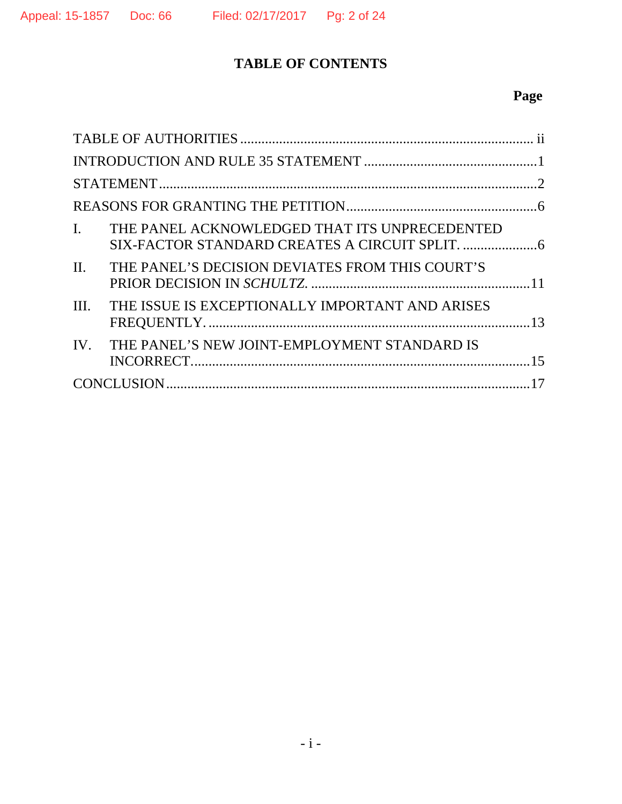# **TABLE OF CONTENTS**

# **Page**

| THE PANEL ACKNOWLEDGED THAT ITS UNPRECEDENTED<br>$\mathbf{I}$ .    |  |
|--------------------------------------------------------------------|--|
| $\mathbf{II}$ .<br>THE PANEL'S DECISION DEVIATES FROM THIS COURT'S |  |
| THE ISSUE IS EXCEPTIONALLY IMPORTANT AND ARISES<br>III.            |  |
| THE PANEL'S NEW JOINT-EMPLOYMENT STANDARD IS<br>$IV_{-}$           |  |
|                                                                    |  |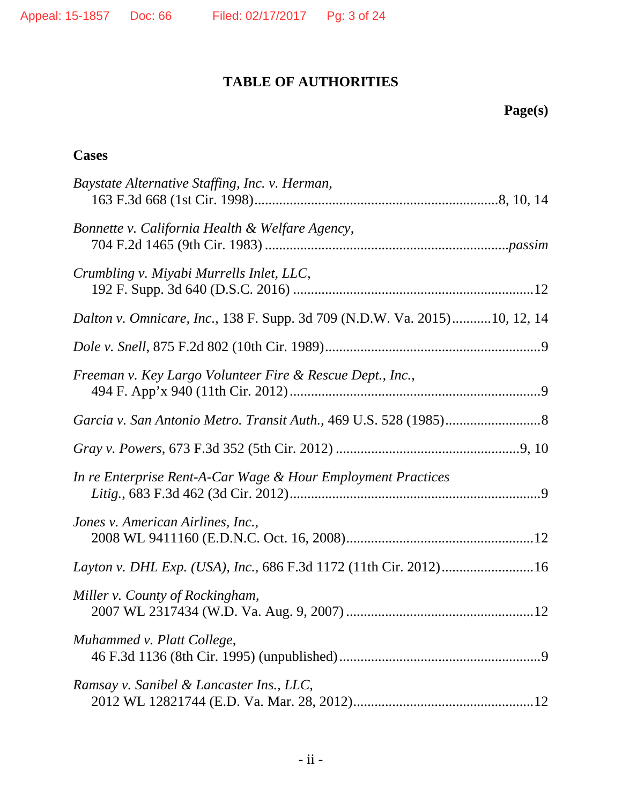## **TABLE OF AUTHORITIES**

# **Page(s)**

## **Cases**

| Baystate Alternative Staffing, Inc. v. Herman,                            |
|---------------------------------------------------------------------------|
| Bonnette v. California Health & Welfare Agency,                           |
| Crumbling v. Miyabi Murrells Inlet, LLC,                                  |
| Dalton v. Omnicare, Inc., 138 F. Supp. 3d 709 (N.D.W. Va. 2015)10, 12, 14 |
|                                                                           |
| Freeman v. Key Largo Volunteer Fire & Rescue Dept., Inc.,                 |
|                                                                           |
|                                                                           |
| In re Enterprise Rent-A-Car Wage & Hour Employment Practices              |
| Jones v. American Airlines, Inc.,                                         |
| Layton v. DHL Exp. (USA), Inc., 686 F.3d 1172 (11th Cir. 2012)16          |
| Miller v. County of Rockingham,                                           |
| Muhammed v. Platt College,                                                |
| Ramsay v. Sanibel & Lancaster Ins., LLC,                                  |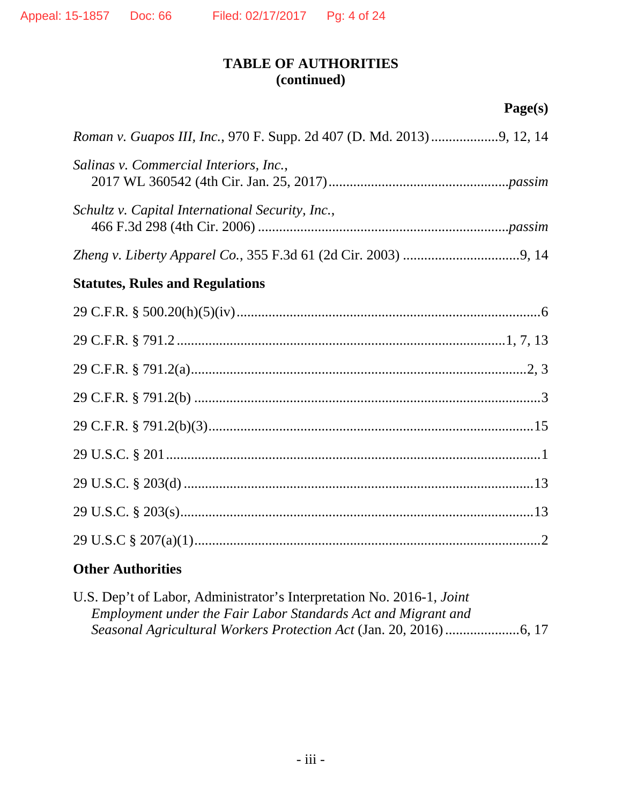## **TABLE OF AUTHORITIES (continued)**

# **Page(s)**

| Salinas v. Commercial Interiors, Inc.,           |
|--------------------------------------------------|
| Schultz v. Capital International Security, Inc., |
|                                                  |
| <b>Statutes, Rules and Regulations</b>           |
|                                                  |
|                                                  |
|                                                  |
|                                                  |
|                                                  |
|                                                  |
|                                                  |
|                                                  |
|                                                  |

## **Other Authorities**

| U.S. Dep't of Labor, Administrator's Interpretation No. 2016-1, <i>Joint</i> |  |
|------------------------------------------------------------------------------|--|
| Employment under the Fair Labor Standards Act and Migrant and                |  |
|                                                                              |  |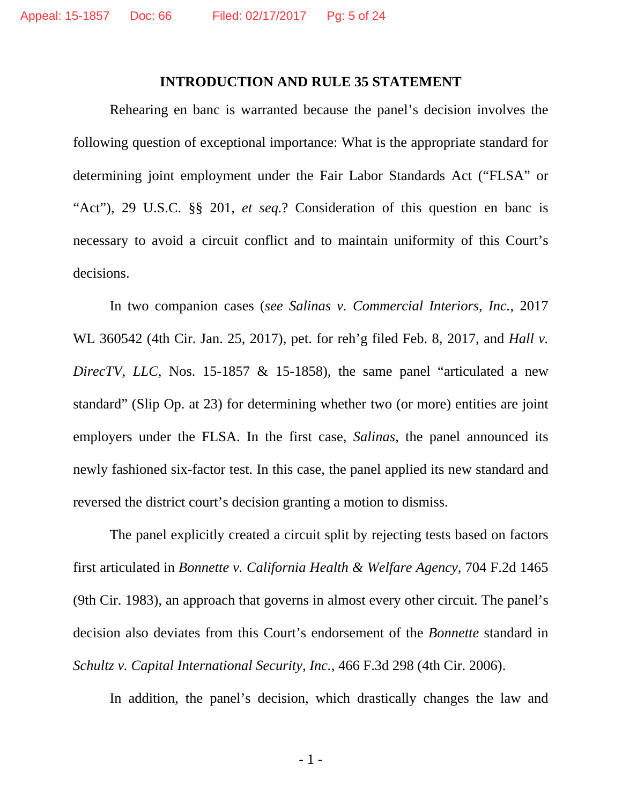#### **INTRODUCTION AND RULE 35 STATEMENT**

Rehearing en banc is warranted because the panel's decision involves the following question of exceptional importance: What is the appropriate standard for determining joint employment under the Fair Labor Standards Act ("FLSA" or "Act"), 29 U.S.C. §§ 201, *et seq.*? Consideration of this question en banc is necessary to avoid a circuit conflict and to maintain uniformity of this Court's decisions.

In two companion cases (*see Salinas v. Commercial Interiors, Inc.*, 2017 WL 360542 (4th Cir. Jan. 25, 2017), pet. for reh'g filed Feb. 8, 2017, and *Hall v. DirecTV, LLC*, Nos. 15-1857 & 15-1858), the same panel "articulated a new standard" (Slip Op. at 23) for determining whether two (or more) entities are joint employers under the FLSA. In the first case, *Salinas*, the panel announced its newly fashioned six-factor test. In this case, the panel applied its new standard and reversed the district court's decision granting a motion to dismiss.

The panel explicitly created a circuit split by rejecting tests based on factors first articulated in *Bonnette v. California Health & Welfare Agency*, 704 F.2d 1465 (9th Cir. 1983), an approach that governs in almost every other circuit. The panel's decision also deviates from this Court's endorsement of the *Bonnette* standard in *Schultz v. Capital International Security, Inc.*, 466 F.3d 298 (4th Cir. 2006).

In addition, the panel's decision, which drastically changes the law and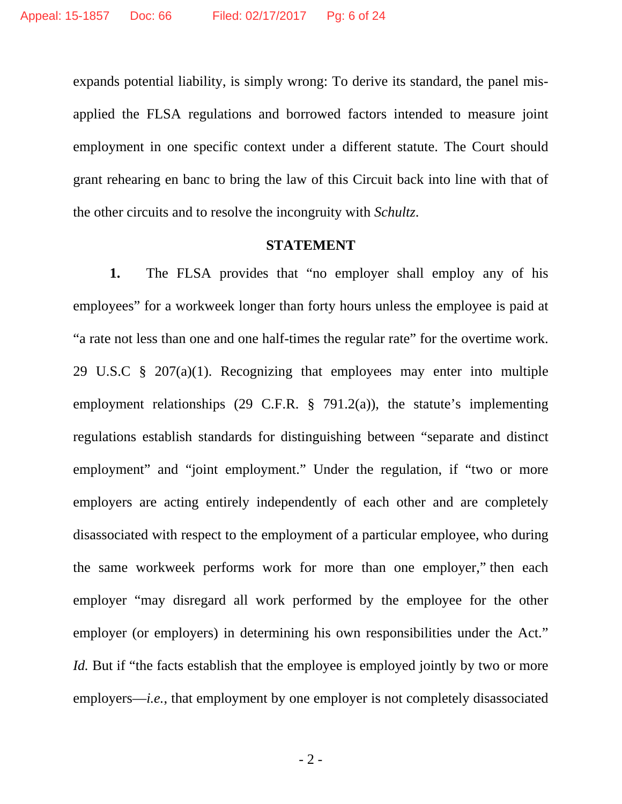expands potential liability, is simply wrong: To derive its standard, the panel misapplied the FLSA regulations and borrowed factors intended to measure joint employment in one specific context under a different statute. The Court should grant rehearing en banc to bring the law of this Circuit back into line with that of the other circuits and to resolve the incongruity with *Schultz*.

#### **STATEMENT**

**1.** The FLSA provides that "no employer shall employ any of his employees" for a workweek longer than forty hours unless the employee is paid at "a rate not less than one and one half-times the regular rate" for the overtime work. 29 U.S.C § 207(a)(1). Recognizing that employees may enter into multiple employment relationships (29 C.F.R. § 791.2(a)), the statute's implementing regulations establish standards for distinguishing between "separate and distinct employment" and "joint employment." Under the regulation, if "two or more employers are acting entirely independently of each other and are completely disassociated with respect to the employment of a particular employee, who during the same workweek performs work for more than one employer," then each employer "may disregard all work performed by the employee for the other employer (or employers) in determining his own responsibilities under the Act." *Id.* But if "the facts establish that the employee is employed jointly by two or more employers—*i.e.*, that employment by one employer is not completely disassociated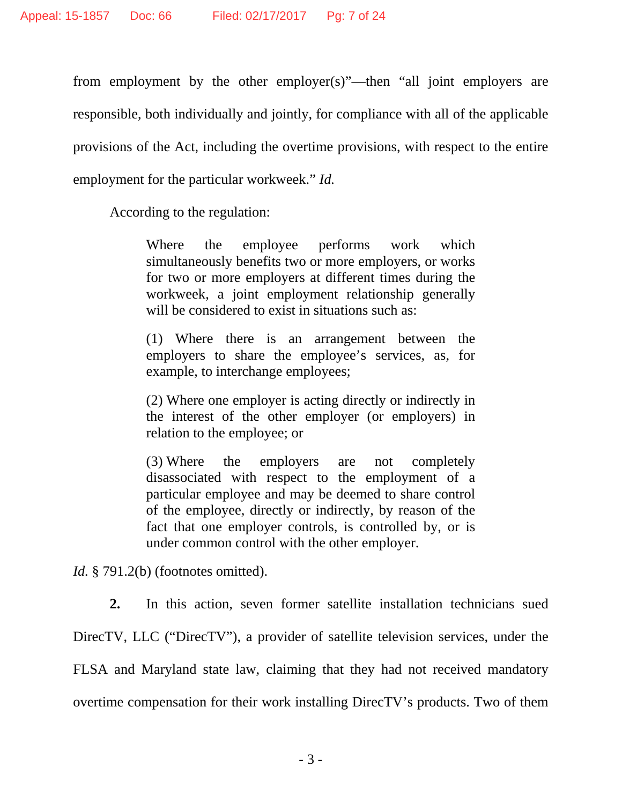from employment by the other employer(s)"—then "all joint employers are responsible, both individually and jointly, for compliance with all of the applicable provisions of the Act, including the overtime provisions, with respect to the entire employment for the particular workweek." *Id.* 

According to the regulation:

Where the employee performs work which simultaneously benefits two or more employers, or works for two or more employers at different times during the workweek, a joint employment relationship generally will be considered to exist in situations such as:

(1) Where there is an arrangement between the employers to share the employee's services, as, for example, to interchange employees;

(2) Where one employer is acting directly or indirectly in the interest of the other employer (or employers) in relation to the employee; or

(3) Where the employers are not completely disassociated with respect to the employment of a particular employee and may be deemed to share control of the employee, directly or indirectly, by reason of the fact that one employer controls, is controlled by, or is under common control with the other employer.

*Id.* § 791.2(b) (footnotes omitted).

**2.** In this action, seven former satellite installation technicians sued DirecTV, LLC ("DirecTV"), a provider of satellite television services, under the FLSA and Maryland state law, claiming that they had not received mandatory overtime compensation for their work installing DirecTV's products. Two of them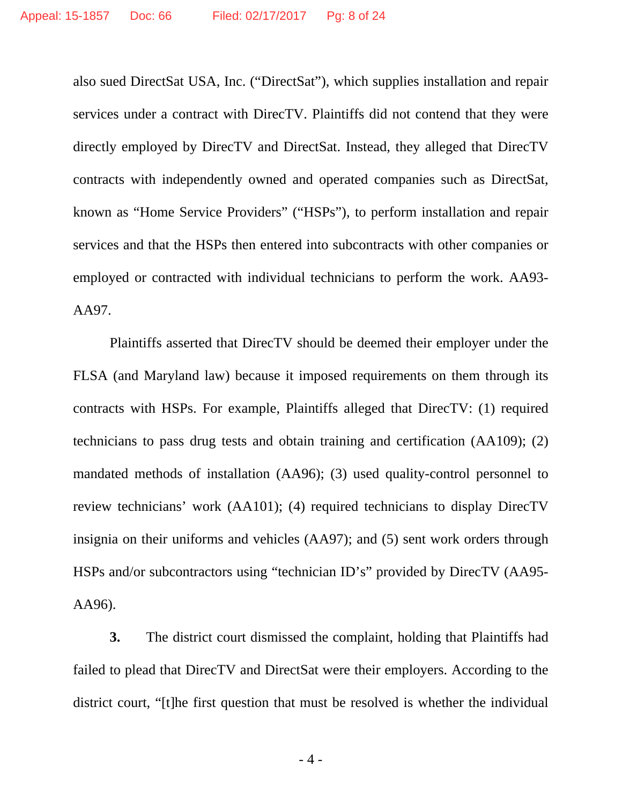also sued DirectSat USA, Inc. ("DirectSat"), which supplies installation and repair services under a contract with DirecTV. Plaintiffs did not contend that they were directly employed by DirecTV and DirectSat. Instead, they alleged that DirecTV contracts with independently owned and operated companies such as DirectSat, known as "Home Service Providers" ("HSPs"), to perform installation and repair services and that the HSPs then entered into subcontracts with other companies or employed or contracted with individual technicians to perform the work. AA93- AA97.

Plaintiffs asserted that DirecTV should be deemed their employer under the FLSA (and Maryland law) because it imposed requirements on them through its contracts with HSPs. For example, Plaintiffs alleged that DirecTV: (1) required technicians to pass drug tests and obtain training and certification (AA109); (2) mandated methods of installation (AA96); (3) used quality-control personnel to review technicians' work (AA101); (4) required technicians to display DirecTV insignia on their uniforms and vehicles (AA97); and (5) sent work orders through HSPs and/or subcontractors using "technician ID's" provided by DirecTV (AA95- AA96).

**3.** The district court dismissed the complaint, holding that Plaintiffs had failed to plead that DirecTV and DirectSat were their employers. According to the district court, "[t]he first question that must be resolved is whether the individual

- 4 -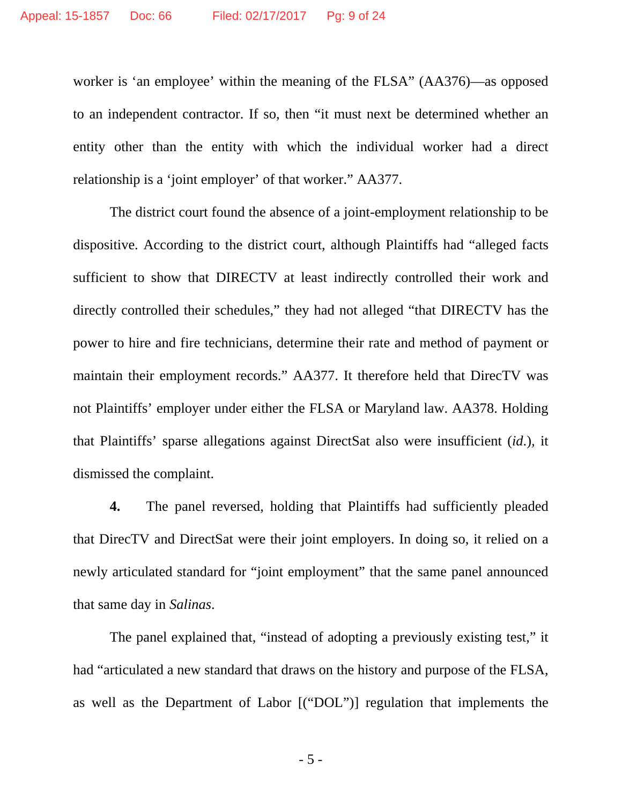worker is 'an employee' within the meaning of the FLSA" (AA376)—as opposed to an independent contractor. If so, then "it must next be determined whether an entity other than the entity with which the individual worker had a direct relationship is a 'joint employer' of that worker." AA377.

The district court found the absence of a joint-employment relationship to be dispositive. According to the district court, although Plaintiffs had "alleged facts sufficient to show that DIRECTV at least indirectly controlled their work and directly controlled their schedules," they had not alleged "that DIRECTV has the power to hire and fire technicians, determine their rate and method of payment or maintain their employment records." AA377. It therefore held that DirecTV was not Plaintiffs' employer under either the FLSA or Maryland law. AA378. Holding that Plaintiffs' sparse allegations against DirectSat also were insufficient (*id*.)*,* it dismissed the complaint.

**4.** The panel reversed, holding that Plaintiffs had sufficiently pleaded that DirecTV and DirectSat were their joint employers. In doing so, it relied on a newly articulated standard for "joint employment" that the same panel announced that same day in *Salinas*.

The panel explained that, "instead of adopting a previously existing test," it had "articulated a new standard that draws on the history and purpose of the FLSA, as well as the Department of Labor [("DOL")] regulation that implements the

- 5 -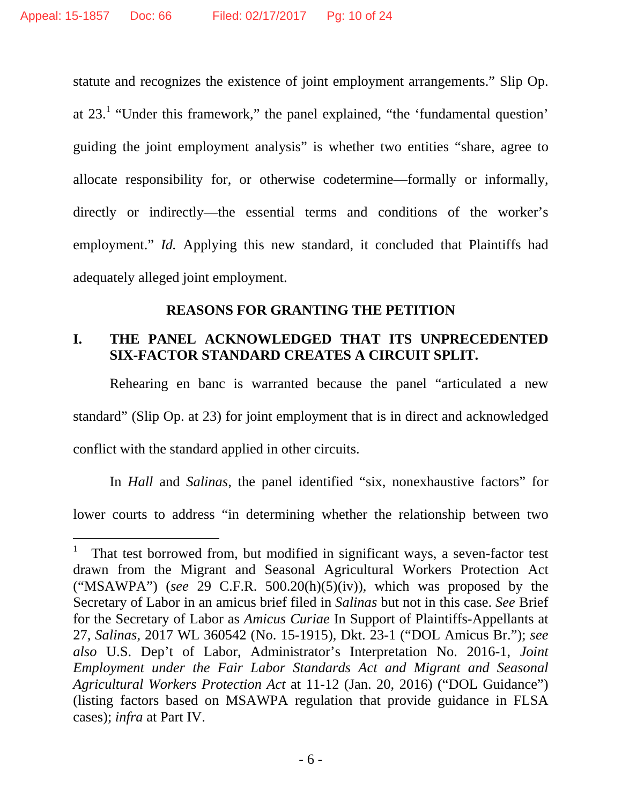$\overline{a}$ 

statute and recognizes the existence of joint employment arrangements." Slip Op. at  $23<sup>1</sup>$  "Under this framework," the panel explained, "the 'fundamental question' guiding the joint employment analysis" is whether two entities "share, agree to allocate responsibility for, or otherwise codetermine—formally or informally, directly or indirectly—the essential terms and conditions of the worker's employment." *Id.* Applying this new standard, it concluded that Plaintiffs had adequately alleged joint employment.

## **REASONS FOR GRANTING THE PETITION**

## **I. THE PANEL ACKNOWLEDGED THAT ITS UNPRECEDENTED SIX-FACTOR STANDARD CREATES A CIRCUIT SPLIT.**

Rehearing en banc is warranted because the panel "articulated a new standard" (Slip Op. at 23) for joint employment that is in direct and acknowledged conflict with the standard applied in other circuits.

In *Hall* and *Salinas*, the panel identified "six, nonexhaustive factors" for lower courts to address "in determining whether the relationship between two

<sup>1</sup> That test borrowed from, but modified in significant ways, a seven-factor test drawn from the Migrant and Seasonal Agricultural Workers Protection Act ("MSAWPA") (*see* 29 C.F.R. 500.20(h)(5)(iv)), which was proposed by the Secretary of Labor in an amicus brief filed in *Salinas* but not in this case. *See* Brief for the Secretary of Labor as *Amicus Curiae* In Support of Plaintiffs-Appellants at 27, *Salinas*, 2017 WL 360542 (No. 15-1915), Dkt. 23-1 ("DOL Amicus Br."); *see also* U.S. Dep't of Labor, Administrator's Interpretation No. 2016-1, *Joint Employment under the Fair Labor Standards Act and Migrant and Seasonal Agricultural Workers Protection Act* at 11-12 (Jan. 20, 2016) ("DOL Guidance") (listing factors based on MSAWPA regulation that provide guidance in FLSA cases); *infra* at Part IV.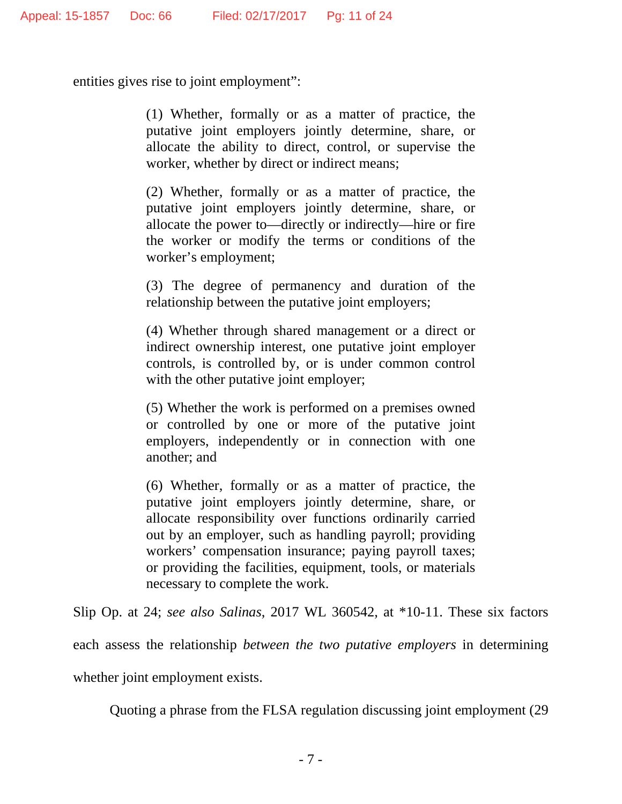entities gives rise to joint employment":

(1) Whether, formally or as a matter of practice, the putative joint employers jointly determine, share, or allocate the ability to direct, control, or supervise the worker, whether by direct or indirect means;

(2) Whether, formally or as a matter of practice, the putative joint employers jointly determine, share, or allocate the power to—directly or indirectly—hire or fire the worker or modify the terms or conditions of the worker's employment;

(3) The degree of permanency and duration of the relationship between the putative joint employers;

(4) Whether through shared management or a direct or indirect ownership interest, one putative joint employer controls, is controlled by, or is under common control with the other putative joint employer;

(5) Whether the work is performed on a premises owned or controlled by one or more of the putative joint employers, independently or in connection with one another; and

(6) Whether, formally or as a matter of practice, the putative joint employers jointly determine, share, or allocate responsibility over functions ordinarily carried out by an employer, such as handling payroll; providing workers' compensation insurance; paying payroll taxes; or providing the facilities, equipment, tools, or materials necessary to complete the work.

Slip Op. at 24; *see also Salinas*, 2017 WL 360542, at \*10-11. These six factors each assess the relationship *between the two putative employers* in determining whether joint employment exists.

Quoting a phrase from the FLSA regulation discussing joint employment (29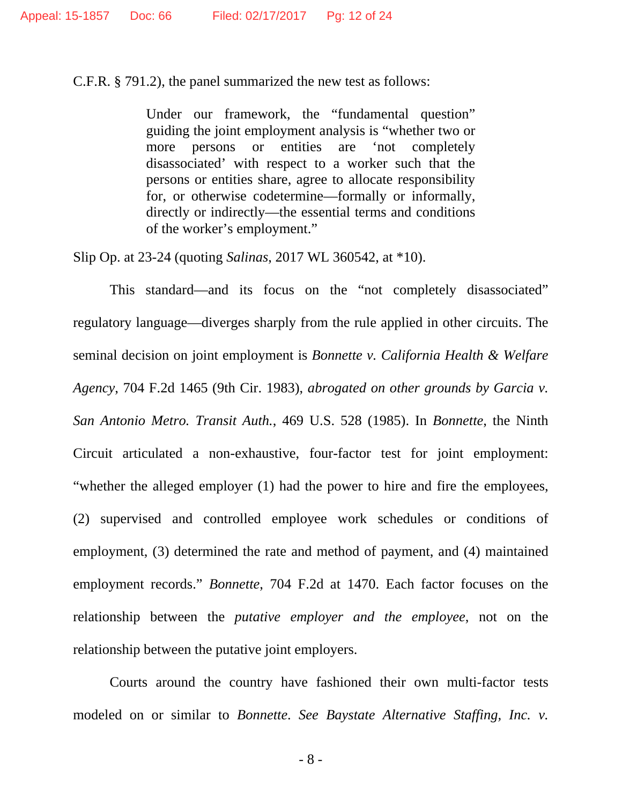C.F.R. § 791.2), the panel summarized the new test as follows:

Under our framework, the "fundamental question" guiding the joint employment analysis is "whether two or more persons or entities are 'not completely disassociated' with respect to a worker such that the persons or entities share, agree to allocate responsibility for, or otherwise codetermine—formally or informally, directly or indirectly—the essential terms and conditions of the worker's employment."

Slip Op. at 23-24 (quoting *Salinas*, 2017 WL 360542, at \*10).

This standard—and its focus on the "not completely disassociated" regulatory language—diverges sharply from the rule applied in other circuits. The seminal decision on joint employment is *Bonnette v. California Health & Welfare Agency*, 704 F.2d 1465 (9th Cir. 1983), *abrogated on other grounds by Garcia v. San Antonio Metro. Transit Auth.*, 469 U.S. 528 (1985). In *Bonnette*, the Ninth Circuit articulated a non-exhaustive, four-factor test for joint employment: "whether the alleged employer (1) had the power to hire and fire the employees, (2) supervised and controlled employee work schedules or conditions of employment, (3) determined the rate and method of payment, and (4) maintained employment records." *Bonnette*, 704 F.2d at 1470. Each factor focuses on the relationship between the *putative employer and the employee*, not on the relationship between the putative joint employers.

Courts around the country have fashioned their own multi-factor tests modeled on or similar to *Bonnette*. *See Baystate Alternative Staffing, Inc. v.* 

- 8 -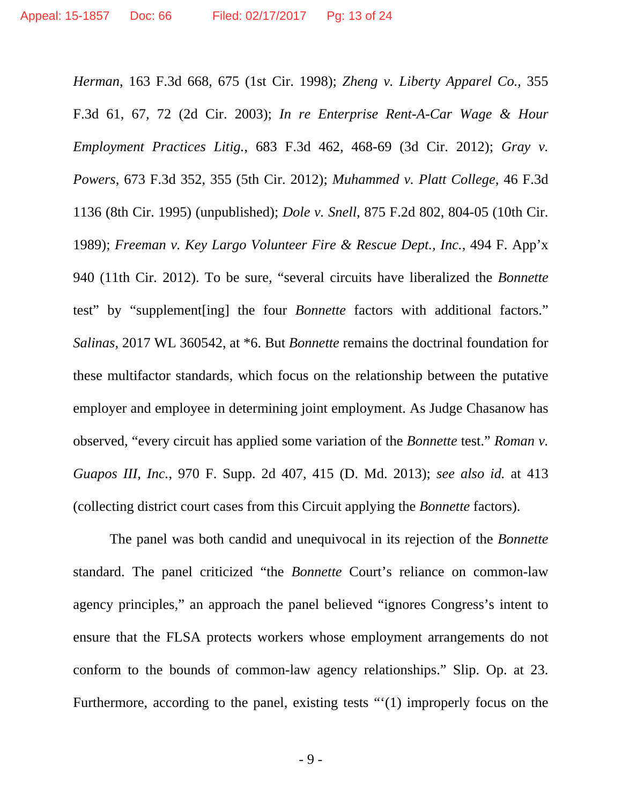*Herman*, 163 F.3d 668, 675 (1st Cir. 1998); *Zheng v. Liberty Apparel Co.*, 355 F.3d 61, 67, 72 (2d Cir. 2003); *In re Enterprise Rent-A-Car Wage & Hour Employment Practices Litig.*, 683 F.3d 462, 468-69 (3d Cir. 2012); *Gray v. Powers*, 673 F.3d 352, 355 (5th Cir. 2012); *Muhammed v. Platt College*, 46 F.3d 1136 (8th Cir. 1995) (unpublished); *Dole v. Snell*, 875 F.2d 802, 804-05 (10th Cir. 1989); *Freeman v. Key Largo Volunteer Fire & Rescue Dept., Inc.*, 494 F. App'x 940 (11th Cir. 2012). To be sure, "several circuits have liberalized the *Bonnette* test" by "supplement[ing] the four *Bonnette* factors with additional factors." *Salinas*, 2017 WL 360542, at \*6. But *Bonnette* remains the doctrinal foundation for these multifactor standards, which focus on the relationship between the putative employer and employee in determining joint employment. As Judge Chasanow has observed, "every circuit has applied some variation of the *Bonnette* test." *Roman v. Guapos III, Inc.*, 970 F. Supp. 2d 407, 415 (D. Md. 2013); *see also id.* at 413 (collecting district court cases from this Circuit applying the *Bonnette* factors).

The panel was both candid and unequivocal in its rejection of the *Bonnette* standard. The panel criticized "the *Bonnette* Court's reliance on common-law agency principles," an approach the panel believed "ignores Congress's intent to ensure that the FLSA protects workers whose employment arrangements do not conform to the bounds of common-law agency relationships." Slip. Op. at 23. Furthermore, according to the panel, existing tests "'(1) improperly focus on the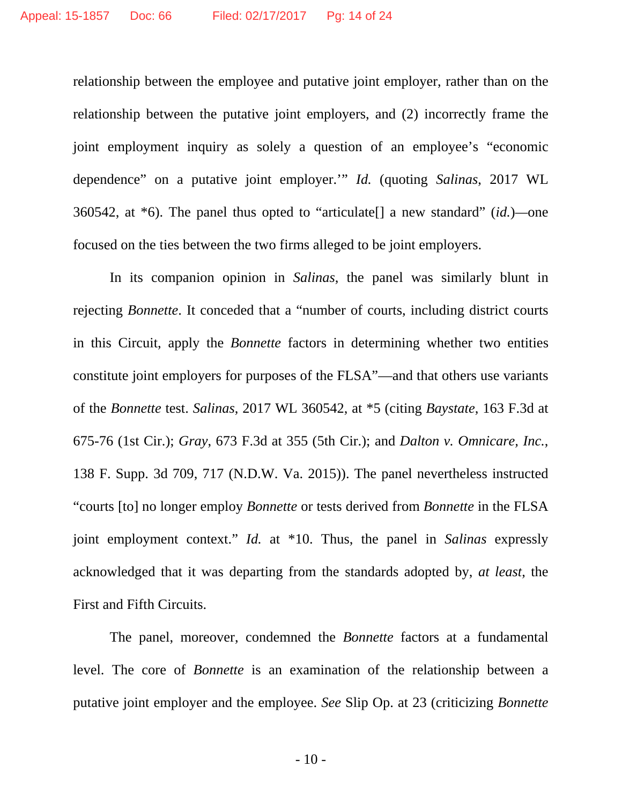relationship between the employee and putative joint employer, rather than on the relationship between the putative joint employers, and (2) incorrectly frame the joint employment inquiry as solely a question of an employee's "economic dependence" on a putative joint employer.'" *Id.* (quoting *Salinas*, 2017 WL 360542, at \*6). The panel thus opted to "articulate[] a new standard" (*id.*)*—*one focused on the ties between the two firms alleged to be joint employers.

In its companion opinion in *Salinas*, the panel was similarly blunt in rejecting *Bonnette*. It conceded that a "number of courts, including district courts in this Circuit, apply the *Bonnette* factors in determining whether two entities constitute joint employers for purposes of the FLSA"—and that others use variants of the *Bonnette* test. *Salinas*, 2017 WL 360542, at \*5 (citing *Baystate*, 163 F.3d at 675-76 (1st Cir.); *Gray*, 673 F.3d at 355 (5th Cir.); and *Dalton v. Omnicare, Inc.*, 138 F. Supp. 3d 709, 717 (N.D.W. Va. 2015)). The panel nevertheless instructed "courts [to] no longer employ *Bonnette* or tests derived from *Bonnette* in the FLSA joint employment context." *Id.* at \*10. Thus, the panel in *Salinas* expressly acknowledged that it was departing from the standards adopted by, *at least*, the First and Fifth Circuits.

The panel, moreover, condemned the *Bonnette* factors at a fundamental level. The core of *Bonnette* is an examination of the relationship between a putative joint employer and the employee. *See* Slip Op. at 23 (criticizing *Bonnette*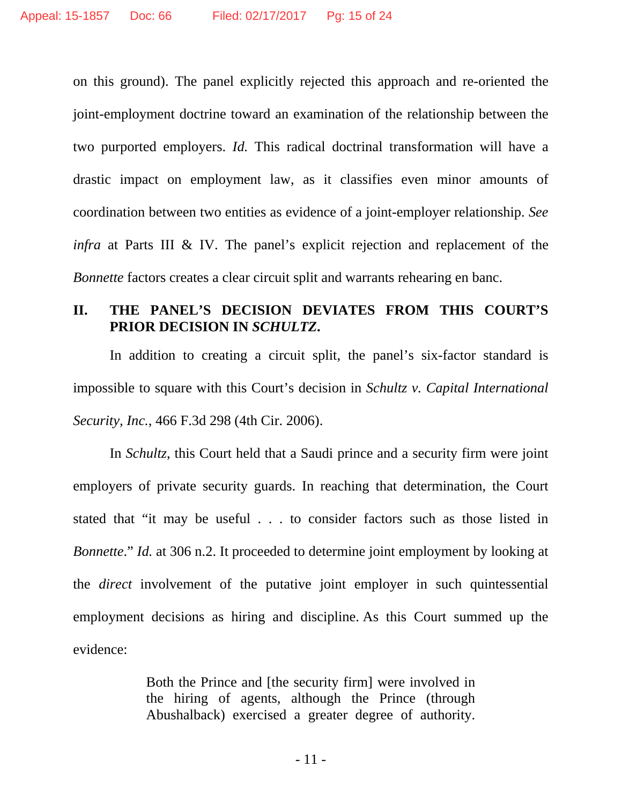on this ground). The panel explicitly rejected this approach and re-oriented the joint-employment doctrine toward an examination of the relationship between the two purported employers. *Id.* This radical doctrinal transformation will have a drastic impact on employment law, as it classifies even minor amounts of coordination between two entities as evidence of a joint-employer relationship. *See infra* at Parts III & IV. The panel's explicit rejection and replacement of the *Bonnette* factors creates a clear circuit split and warrants rehearing en banc.

## **II. THE PANEL'S DECISION DEVIATES FROM THIS COURT'S PRIOR DECISION IN** *SCHULTZ***.**

In addition to creating a circuit split, the panel's six-factor standard is impossible to square with this Court's decision in *Schultz v. Capital International Security, Inc.*, 466 F.3d 298 (4th Cir. 2006).

In *Schultz*, this Court held that a Saudi prince and a security firm were joint employers of private security guards. In reaching that determination, the Court stated that "it may be useful . . . to consider factors such as those listed in *Bonnette.*" *Id.* at 306 n.2. It proceeded to determine joint employment by looking at the *direct* involvement of the putative joint employer in such quintessential employment decisions as hiring and discipline. As this Court summed up the evidence:

> Both the Prince and [the security firm] were involved in the hiring of agents, although the Prince (through Abushalback) exercised a greater degree of authority.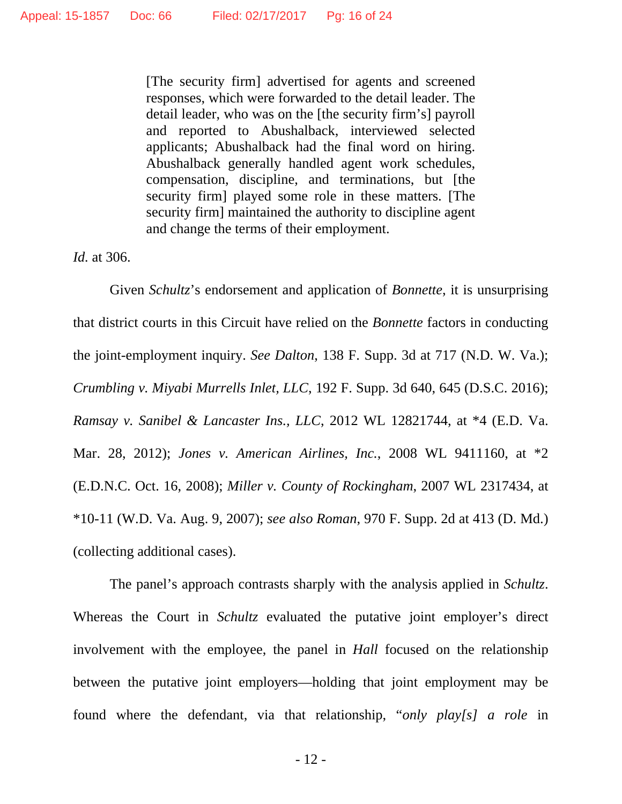[The security firm] advertised for agents and screened responses, which were forwarded to the detail leader. The detail leader, who was on the [the security firm's] payroll and reported to Abushalback, interviewed selected applicants; Abushalback had the final word on hiring. Abushalback generally handled agent work schedules, compensation, discipline, and terminations, but [the security firm] played some role in these matters. [The security firm] maintained the authority to discipline agent and change the terms of their employment.

*Id.* at 306.

Given *Schultz*'s endorsement and application of *Bonnette*, it is unsurprising that district courts in this Circuit have relied on the *Bonnette* factors in conducting the joint-employment inquiry. *See Dalton*, 138 F. Supp. 3d at 717 (N.D. W. Va.); *Crumbling v. Miyabi Murrells Inlet, LLC*, 192 F. Supp. 3d 640, 645 (D.S.C. 2016); *Ramsay v. Sanibel & Lancaster Ins., LLC*, 2012 WL 12821744, at \*4 (E.D. Va. Mar. 28, 2012); *Jones v. American Airlines, Inc.*, 2008 WL 9411160, at \*2 (E.D.N.C. Oct. 16, 2008); *Miller v. County of Rockingham*, 2007 WL 2317434, at \*10-11 (W.D. Va. Aug. 9, 2007); *see also Roman*, 970 F. Supp. 2d at 413 (D. Md.) (collecting additional cases).

The panel's approach contrasts sharply with the analysis applied in *Schultz*. Whereas the Court in *Schultz* evaluated the putative joint employer's direct involvement with the employee, the panel in *Hall* focused on the relationship between the putative joint employers—holding that joint employment may be found where the defendant, via that relationship, "*only play[s] a role* in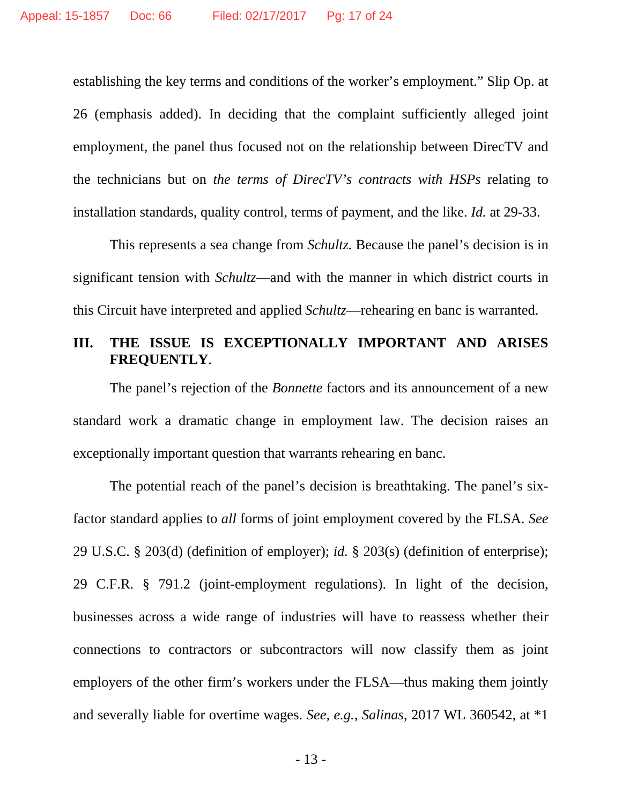establishing the key terms and conditions of the worker's employment." Slip Op. at 26 (emphasis added). In deciding that the complaint sufficiently alleged joint employment, the panel thus focused not on the relationship between DirecTV and the technicians but on *the terms of DirecTV's contracts with HSPs* relating to installation standards, quality control, terms of payment, and the like. *Id.* at 29-33.

This represents a sea change from *Schultz.* Because the panel's decision is in significant tension with *Schultz*—and with the manner in which district courts in this Circuit have interpreted and applied *Schultz*—rehearing en banc is warranted.

## **III. THE ISSUE IS EXCEPTIONALLY IMPORTANT AND ARISES FREQUENTLY**.

The panel's rejection of the *Bonnette* factors and its announcement of a new standard work a dramatic change in employment law. The decision raises an exceptionally important question that warrants rehearing en banc.

The potential reach of the panel's decision is breathtaking. The panel's sixfactor standard applies to *all* forms of joint employment covered by the FLSA. *See*  29 U.S.C. § 203(d) (definition of employer); *id.* § 203(s) (definition of enterprise); 29 C.F.R. § 791.2 (joint-employment regulations). In light of the decision, businesses across a wide range of industries will have to reassess whether their connections to contractors or subcontractors will now classify them as joint employers of the other firm's workers under the FLSA—thus making them jointly and severally liable for overtime wages. *See, e.g.*, *Salinas*, 2017 WL 360542, at \*1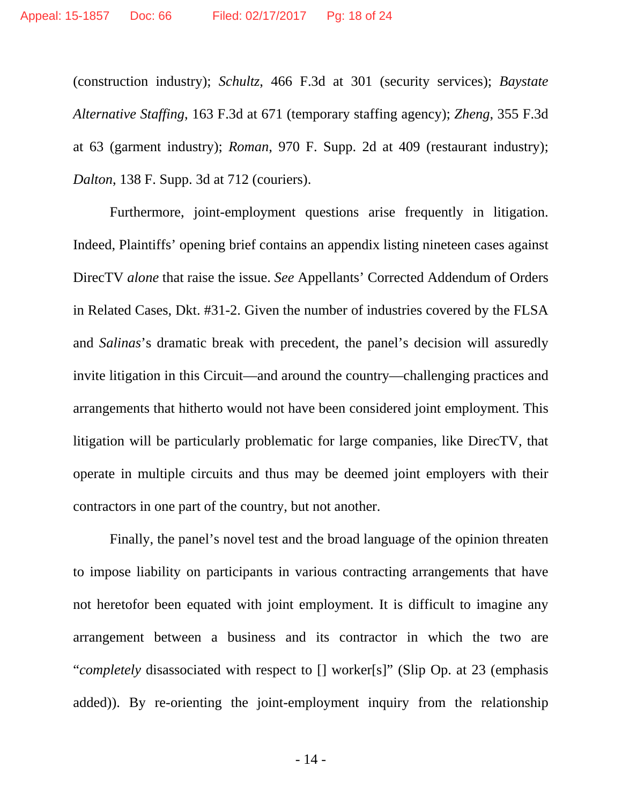(construction industry); *Schultz*, 466 F.3d at 301 (security services); *Baystate Alternative Staffing*, 163 F.3d at 671 (temporary staffing agency); *Zheng*, 355 F.3d at 63 (garment industry); *Roman*, 970 F. Supp. 2d at 409 (restaurant industry); *Dalton*, 138 F. Supp. 3d at 712 (couriers).

Furthermore, joint-employment questions arise frequently in litigation. Indeed, Plaintiffs' opening brief contains an appendix listing nineteen cases against DirecTV *alone* that raise the issue. *See* Appellants' Corrected Addendum of Orders in Related Cases, Dkt. #31-2. Given the number of industries covered by the FLSA and *Salinas*'s dramatic break with precedent, the panel's decision will assuredly invite litigation in this Circuit—and around the country—challenging practices and arrangements that hitherto would not have been considered joint employment. This litigation will be particularly problematic for large companies, like DirecTV, that operate in multiple circuits and thus may be deemed joint employers with their contractors in one part of the country, but not another.

Finally, the panel's novel test and the broad language of the opinion threaten to impose liability on participants in various contracting arrangements that have not heretofor been equated with joint employment. It is difficult to imagine any arrangement between a business and its contractor in which the two are "*completely* disassociated with respect to [] worker[s]" (Slip Op. at 23 (emphasis added)). By re-orienting the joint-employment inquiry from the relationship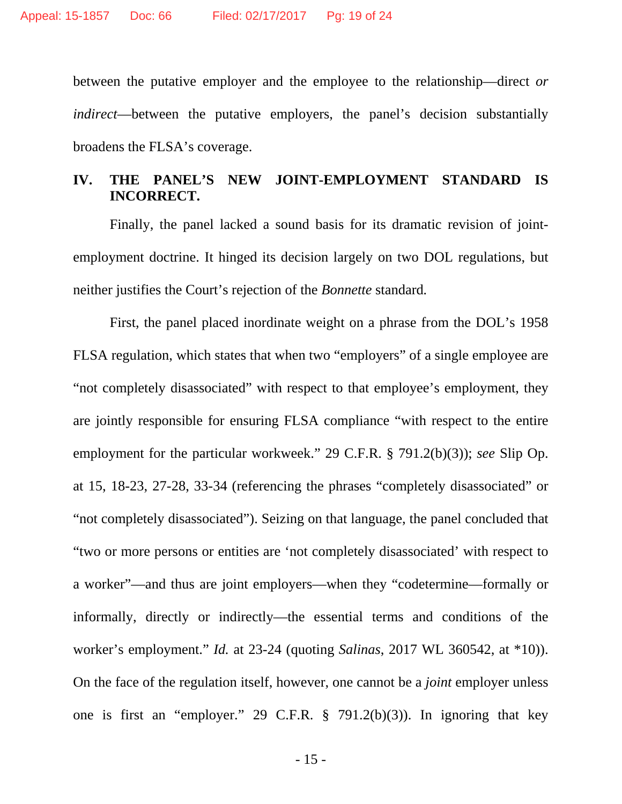between the putative employer and the employee to the relationship—direct *or indirect*—between the putative employers, the panel's decision substantially broadens the FLSA's coverage.

## **IV. THE PANEL'S NEW JOINT-EMPLOYMENT STANDARD IS INCORRECT.**

Finally, the panel lacked a sound basis for its dramatic revision of jointemployment doctrine. It hinged its decision largely on two DOL regulations, but neither justifies the Court's rejection of the *Bonnette* standard*.*

First, the panel placed inordinate weight on a phrase from the DOL's 1958 FLSA regulation, which states that when two "employers" of a single employee are "not completely disassociated" with respect to that employee's employment, they are jointly responsible for ensuring FLSA compliance "with respect to the entire employment for the particular workweek." 29 C.F.R. § 791.2(b)(3)); *see* Slip Op. at 15, 18-23, 27-28, 33-34 (referencing the phrases "completely disassociated" or "not completely disassociated"). Seizing on that language, the panel concluded that "two or more persons or entities are 'not completely disassociated' with respect to a worker"—and thus are joint employers—when they "codetermine—formally or informally, directly or indirectly—the essential terms and conditions of the worker's employment." *Id.* at 23-24 (quoting *Salinas*, 2017 WL 360542, at \*10)). On the face of the regulation itself, however, one cannot be a *joint* employer unless one is first an "employer." 29 C.F.R. § 791.2(b)(3)). In ignoring that key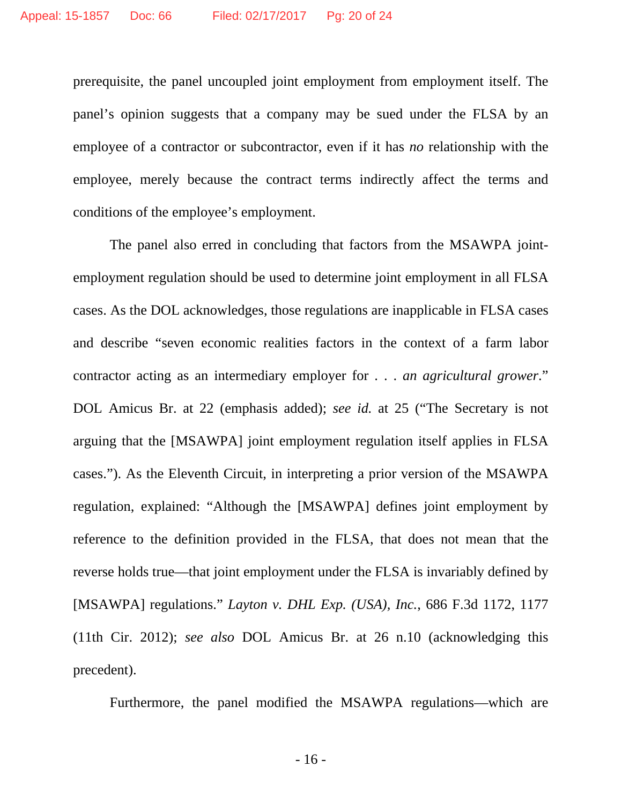prerequisite, the panel uncoupled joint employment from employment itself. The panel's opinion suggests that a company may be sued under the FLSA by an employee of a contractor or subcontractor, even if it has *no* relationship with the employee, merely because the contract terms indirectly affect the terms and conditions of the employee's employment.

The panel also erred in concluding that factors from the MSAWPA jointemployment regulation should be used to determine joint employment in all FLSA cases. As the DOL acknowledges, those regulations are inapplicable in FLSA cases and describe "seven economic realities factors in the context of a farm labor contractor acting as an intermediary employer for . . . *an agricultural grower*." DOL Amicus Br. at 22 (emphasis added); *see id.* at 25 ("The Secretary is not arguing that the [MSAWPA] joint employment regulation itself applies in FLSA cases."). As the Eleventh Circuit, in interpreting a prior version of the MSAWPA regulation, explained: "Although the [MSAWPA] defines joint employment by reference to the definition provided in the FLSA, that does not mean that the reverse holds true—that joint employment under the FLSA is invariably defined by [MSAWPA] regulations." *Layton v. DHL Exp. (USA), Inc.*, 686 F.3d 1172, 1177 (11th Cir. 2012); *see also* DOL Amicus Br. at 26 n.10 (acknowledging this precedent).

Furthermore, the panel modified the MSAWPA regulations—which are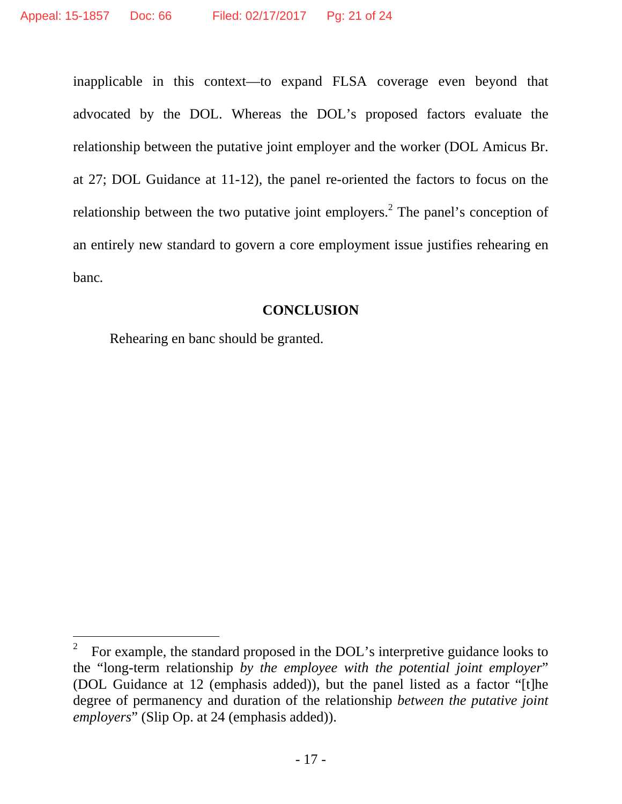inapplicable in this context—to expand FLSA coverage even beyond that advocated by the DOL. Whereas the DOL's proposed factors evaluate the relationship between the putative joint employer and the worker (DOL Amicus Br. at 27; DOL Guidance at 11-12), the panel re-oriented the factors to focus on the relationship between the two putative joint employers.<sup>2</sup> The panel's conception of an entirely new standard to govern a core employment issue justifies rehearing en banc*.*

#### **CONCLUSION**

Rehearing en banc should be granted.

l

<sup>2</sup> For example, the standard proposed in the DOL's interpretive guidance looks to the "long-term relationship *by the employee with the potential joint employer*" (DOL Guidance at 12 (emphasis added)), but the panel listed as a factor "[t]he degree of permanency and duration of the relationship *between the putative joint employers*" (Slip Op. at 24 (emphasis added)).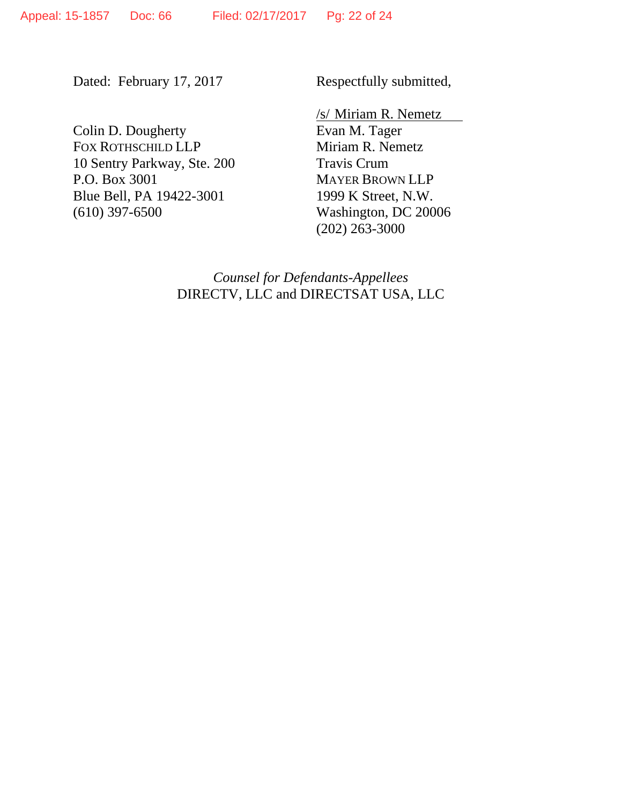Dated: February 17, 2017

Respectfully submitted,

Colin D. Dougherty FOX ROTHSCHILD LLP 10 Sentry Parkway, Ste. 200 P.O. Box 3001 Blue Bell, PA 19422-3001 (610) 397-6500

/s/ Miriam R. Nemetz Evan M. Tager Miriam R. Nemetz Travis Crum MAYER BROWN LLP 1999 K Street, N.W. Washington, DC 20006 (202) 263-3000

*Counsel for Defendants-Appellees*  DIRECTV, LLC and DIRECTSAT USA, LLC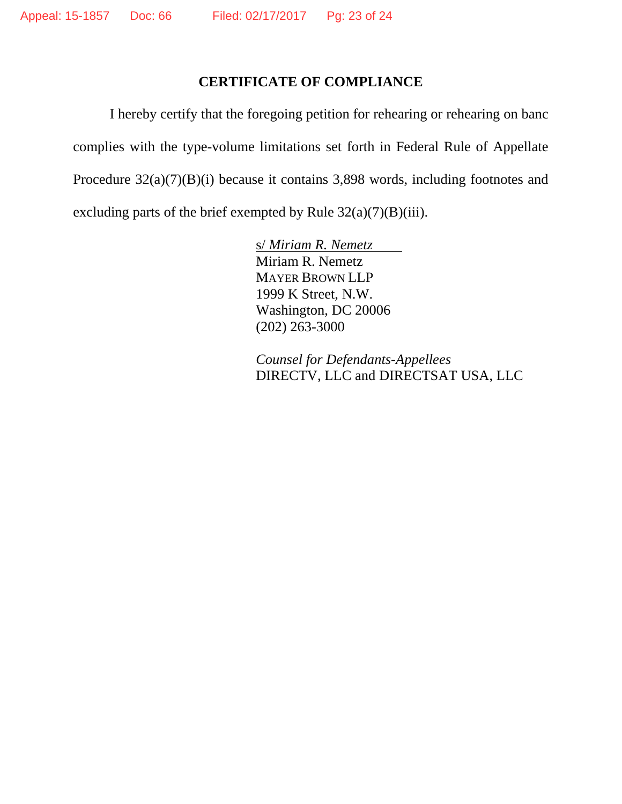## **CERTIFICATE OF COMPLIANCE**

I hereby certify that the foregoing petition for rehearing or rehearing on banc complies with the type-volume limitations set forth in Federal Rule of Appellate Procedure 32(a)(7)(B)(i) because it contains 3,898 words, including footnotes and excluding parts of the brief exempted by Rule  $32(a)(7)(B)(iii)$ .

> s/ *Miriam R. Nemetz* Miriam R. Nemetz MAYER BROWN LLP 1999 K Street, N.W. Washington, DC 20006 (202) 263-3000

 *Counsel for Defendants-Appellees* DIRECTV, LLC and DIRECTSAT USA, LLC